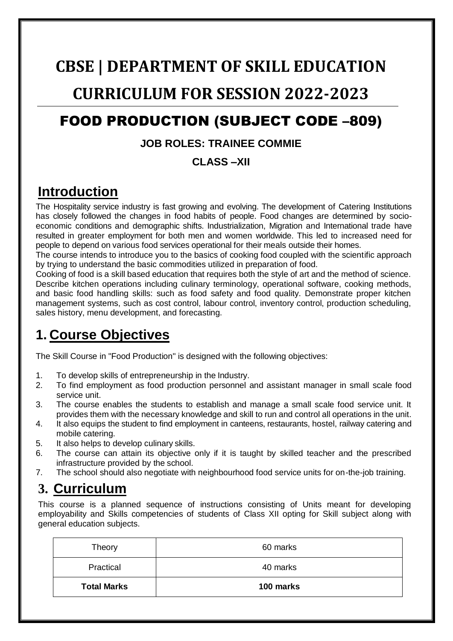# **CBSE | DEPARTMENT OF SKILL EDUCATION**

# **CURRICULUM FOR SESSION 2022-2023**

# FOOD PRODUCTION (SUBJECT CODE –809)

#### **JOB ROLES: TRAINEE COMMIE**

#### **CLASS –XII**

### **Introduction**

The Hospitality service industry is fast growing and evolving. The development of Catering Institutions has closely followed the changes in food habits of people. Food changes are determined by socioeconomic conditions and demographic shifts. Industrialization, Migration and International trade have resulted in greater employment for both men and women worldwide. This led to increased need for people to depend on various food services operational for their meals outside their homes.

The course intends to introduce you to the basics of cooking food coupled with the scientific approach by trying to understand the basic commodities utilized in preparation of food.

Cooking of food is a skill based education that requires both the style of art and the method of science. Describe kitchen operations including culinary terminology, operational software, cooking methods, and basic food handling skills: such as food safety and food quality. Demonstrate proper kitchen management systems, such as cost control, labour control, inventory control, production scheduling, sales history, menu development, and forecasting.

## **1. Course Objectives**

The Skill Course in "Food Production" is designed with the following objectives:

- 1. To develop skills of entrepreneurship in the Industry.
- 2. To find employment as food production personnel and assistant manager in small scale food service unit.
- 3. The course enables the students to establish and manage a small scale food service unit. It provides them with the necessary knowledge and skill to run and control all operations in the unit.
- 4. It also equips the student to find employment in canteens, restaurants, hostel, railway catering and mobile catering.
- 5. It also helps to develop culinary skills.
- 6. The course can attain its objective only if it is taught by skilled teacher and the prescribed infrastructure provided by the school.
- 7. The school should also negotiate with neighbourhood food service units for on-the-job training.

## **3. Curriculum**

This course is a planned sequence of instructions consisting of Units meant for developing employability and Skills competencies of students of Class XII opting for Skill subject along with general education subjects.

| Theory             | 60 marks  |
|--------------------|-----------|
| Practical          | 40 marks  |
| <b>Total Marks</b> | 100 marks |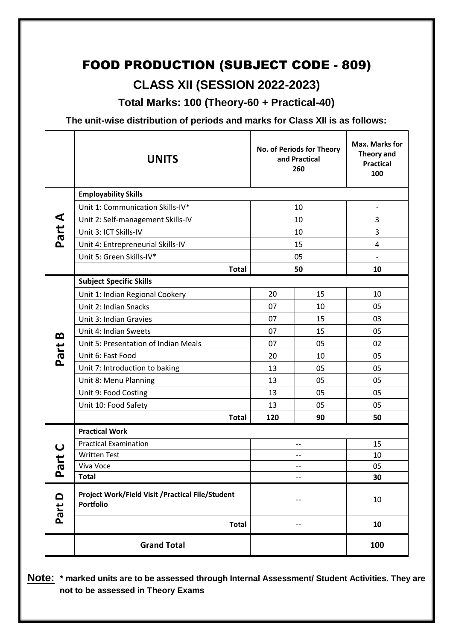## FOOD PRODUCTION (SUBJECT CODE - 809) **CLASS XII (SESSION 2022-2023)**

**Total Marks: 100 (Theory-60 + Practical-40)**

**The unit-wise distribution of periods and marks for Class XII is as follows:**

|                  | <b>UNITS</b>                                                          |     | No. of Periods for Theory<br>and Practical<br>260 | Max. Marks for<br>Theory and<br><b>Practical</b><br>100 |  |
|------------------|-----------------------------------------------------------------------|-----|---------------------------------------------------|---------------------------------------------------------|--|
|                  | <b>Employability Skills</b>                                           |     |                                                   |                                                         |  |
|                  | Unit 1: Communication Skills-IV*                                      | 10  |                                                   | $\overline{\phantom{a}}$                                |  |
| ⋖                | Unit 2: Self-management Skills-IV                                     | 10  |                                                   | 3                                                       |  |
| Part.            | Unit 3: ICT Skills-IV                                                 | 10  |                                                   | 3                                                       |  |
|                  | Unit 4: Entrepreneurial Skills-IV                                     | 15  |                                                   | 4                                                       |  |
|                  | Unit 5: Green Skills-IV*                                              | 05  |                                                   | $\overline{\phantom{a}}$                                |  |
|                  | <b>Total</b>                                                          | 50  |                                                   | 10                                                      |  |
|                  | <b>Subject Specific Skills</b>                                        |     |                                                   |                                                         |  |
|                  | Unit 1: Indian Regional Cookery                                       | 20  | 15                                                | 10                                                      |  |
|                  | Unit 2: Indian Snacks                                                 | 07  | 10                                                | 05                                                      |  |
|                  | Unit 3: Indian Gravies                                                | 07  | 15                                                | 03                                                      |  |
| B                | Unit 4: Indian Sweets                                                 | 07  | 15                                                | 05                                                      |  |
|                  | Unit 5: Presentation of Indian Meals                                  | 07  | 05                                                | 02                                                      |  |
| Part             | Unit 6: Fast Food                                                     | 20  | 10                                                | 05                                                      |  |
|                  | Unit 7: Introduction to baking                                        | 13  | 05                                                | 05                                                      |  |
|                  | Unit 8: Menu Planning                                                 | 13  | 05                                                | 05                                                      |  |
|                  | Unit 9: Food Costing                                                  | 13  | 05                                                | 05                                                      |  |
|                  | Unit 10: Food Safety                                                  | 13  | 05                                                | 05                                                      |  |
|                  | <b>Total</b>                                                          | 120 | 90                                                | 50                                                      |  |
|                  | <b>Practical Work</b>                                                 |     |                                                   |                                                         |  |
| $\mathbf C$      | <b>Practical Examination</b>                                          | --  |                                                   | 15                                                      |  |
| ta<br>To         | <b>Written Test</b>                                                   | $-$ |                                                   | 10                                                      |  |
|                  | Viva Voce                                                             | --  |                                                   | 05                                                      |  |
| ட                | <b>Total</b>                                                          | --  |                                                   | 30                                                      |  |
| $\Omega$<br>Part | Project Work/Field Visit / Practical File/Student<br><b>Portfolio</b> | --  |                                                   | 10                                                      |  |
|                  | <b>Total</b>                                                          |     | --                                                | 10                                                      |  |
|                  | <b>Grand Total</b>                                                    |     |                                                   | 100                                                     |  |

**Note: \* marked units are to be assessed through Internal Assessment/ Student Activities. They are not to be assessed in Theory Exams**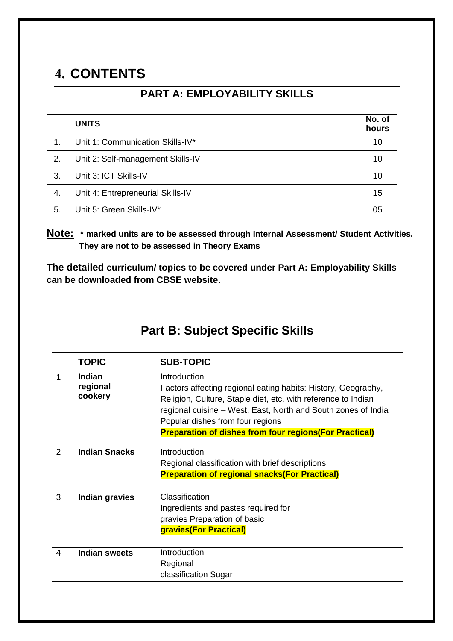# **4. CONTENTS**

#### **PART A: EMPLOYABILITY SKILLS**

|    | <b>UNITS</b>                      | No. of<br>hours |
|----|-----------------------------------|-----------------|
| 1. | Unit 1: Communication Skills-IV*  | 10              |
| 2. | Unit 2: Self-management Skills-IV | 10              |
| 3. | Unit 3: ICT Skills-IV             | 10              |
| 4. | Unit 4: Entrepreneurial Skills-IV | 15              |
| 5. | Unit 5: Green Skills-IV*          | 05              |

**Note: \* marked units are to be assessed through Internal Assessment/ Student Activities. They are not to be assessed in Theory Exams** 

**The detailed curriculum/ topics to be covered under Part A: Employability Skills can be downloaded from CBSE website**.

#### **Part B: Subject Specific Skills**

|   | <b>TOPIC</b>                         | <b>SUB-TOPIC</b>                                                                                                                                                                                                                                    |
|---|--------------------------------------|-----------------------------------------------------------------------------------------------------------------------------------------------------------------------------------------------------------------------------------------------------|
| 1 | <b>Indian</b><br>regional<br>cookery | Introduction<br>Factors affecting regional eating habits: History, Geography,<br>Religion, Culture, Staple diet, etc. with reference to Indian<br>regional cuisine – West, East, North and South zones of India<br>Popular dishes from four regions |
|   |                                      | <b>Preparation of dishes from four regions (For Practical)</b>                                                                                                                                                                                      |
| 2 | <b>Indian Snacks</b>                 | Introduction<br>Regional classification with brief descriptions<br><b>Preparation of regional snacks (For Practical)</b>                                                                                                                            |
| 3 | <b>Indian gravies</b>                | Classification<br>Ingredients and pastes required for<br>gravies Preparation of basic<br>gravies(For Practical)                                                                                                                                     |
| 4 | <b>Indian sweets</b>                 | Introduction<br>Regional<br>classification Sugar                                                                                                                                                                                                    |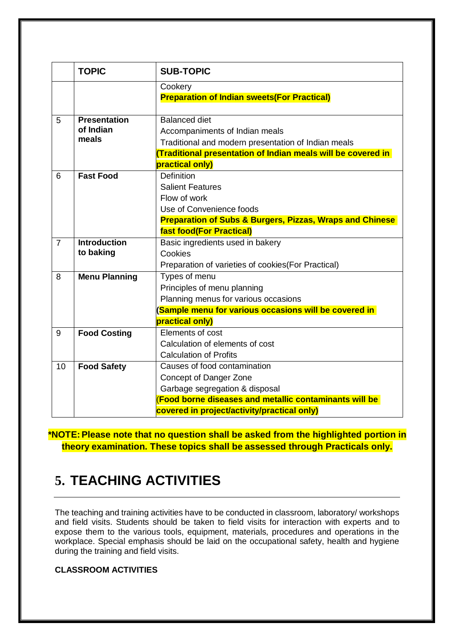|                                             | <b>TOPIC</b>                                                 | <b>SUB-TOPIC</b>                                                    |  |  |
|---------------------------------------------|--------------------------------------------------------------|---------------------------------------------------------------------|--|--|
|                                             |                                                              | Cookery                                                             |  |  |
|                                             |                                                              | <b>Preparation of Indian sweets (For Practical)</b>                 |  |  |
|                                             |                                                              |                                                                     |  |  |
| 5                                           | <b>Presentation</b>                                          | <b>Balanced diet</b>                                                |  |  |
|                                             | of Indian<br>meals                                           | Accompaniments of Indian meals                                      |  |  |
|                                             |                                                              | Traditional and modern presentation of Indian meals                 |  |  |
|                                             |                                                              | Traditional presentation of Indian meals will be covered in         |  |  |
|                                             |                                                              | practical only)                                                     |  |  |
| <b>Fast Food</b><br>6<br><b>Definition</b>  |                                                              |                                                                     |  |  |
|                                             |                                                              | <b>Salient Features</b>                                             |  |  |
|                                             |                                                              | Flow of work                                                        |  |  |
|                                             |                                                              | Use of Convenience foods                                            |  |  |
|                                             |                                                              | <b>Preparation of Subs &amp; Burgers, Pizzas, Wraps and Chinese</b> |  |  |
|                                             |                                                              | fast food(For Practical)                                            |  |  |
| $\overline{7}$                              | <b>Introduction</b><br>Basic ingredients used in bakery      |                                                                     |  |  |
|                                             | to baking                                                    | Cookies                                                             |  |  |
|                                             |                                                              | Preparation of varieties of cookies(For Practical)                  |  |  |
| 8                                           | <b>Menu Planning</b><br>Types of menu                        |                                                                     |  |  |
|                                             |                                                              | Principles of menu planning                                         |  |  |
|                                             |                                                              | Planning menus for various occasions                                |  |  |
|                                             |                                                              | Sample menu for various occasions will be covered in                |  |  |
|                                             |                                                              | practical only)                                                     |  |  |
| 9                                           | <b>Food Costing</b>                                          | Elements of cost                                                    |  |  |
|                                             |                                                              | Calculation of elements of cost                                     |  |  |
|                                             |                                                              | <b>Calculation of Profits</b>                                       |  |  |
| 10                                          | <b>Food Safety</b>                                           | Causes of food contamination                                        |  |  |
|                                             |                                                              | Concept of Danger Zone                                              |  |  |
|                                             |                                                              | Garbage segregation & disposal                                      |  |  |
|                                             | <b>Food borne diseases and metallic contaminants will be</b> |                                                                     |  |  |
| covered in project/activity/practical only) |                                                              |                                                                     |  |  |

**\*NOTE: Please note that no question shall be asked from the highlighted portion in theory examination. These topics shall be assessed through Practicals only.**

#### **5. TEACHING ACTIVITIES**

The teaching and training activities have to be conducted in classroom, laboratory/ workshops and field visits. Students should be taken to field visits for interaction with experts and to expose them to the various tools, equipment, materials, procedures and operations in the workplace. Special emphasis should be laid on the occupational safety, health and hygiene during the training and field visits.

#### **CLASSROOM ACTIVITIES**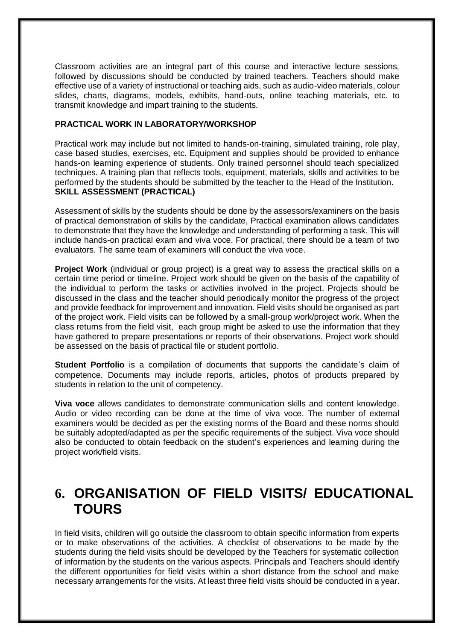Classroom activities are an integral part of this course and interactive lecture sessions, followed by discussions should be conducted by trained teachers. Teachers should make effective use of a variety of instructional or teaching aids, such as audio-video materials, colour slides, charts, diagrams, models, exhibits, hand-outs, online teaching materials, etc. to transmit knowledge and impart training to the students.

#### **PRACTICAL WORK IN LABORATORY/WORKSHOP**

Practical work may include but not limited to hands-on-training, simulated training, role play, case based studies, exercises, etc. Equipment and supplies should be provided to enhance hands-on learning experience of students. Only trained personnel should teach specialized techniques. A training plan that reflects tools, equipment, materials, skills and activities to be performed by the students should be submitted by the teacher to the Head of the Institution. **SKILL ASSESSMENT (PRACTICAL)**

Assessment of skills by the students should be done by the assessors/examiners on the basis of practical demonstration of skills by the candidate, Practical examination allows candidates to demonstrate that they have the knowledge and understanding of performing a task. This will include hands-on practical exam and viva voce. For practical, there should be a team of two evaluators. The same team of examiners will conduct the viva voce.

**Project Work** (individual or group project) is a great way to assess the practical skills on a certain time period or timeline. Project work should be given on the basis of the capability of the individual to perform the tasks or activities involved in the project. Projects should be discussed in the class and the teacher should periodically monitor the progress of the project and provide feedback for improvement and innovation. Field visits should be organised as part of the project work. Field visits can be followed by a small-group work/project work. When the class returns from the field visit, each group might be asked to use the information that they have gathered to prepare presentations or reports of their observations. Project work should be assessed on the basis of practical file or student portfolio.

**Student Portfolio** is a compilation of documents that supports the candidate's claim of competence. Documents may include reports, articles, photos of products prepared by students in relation to the unit of competency.

**Viva voce** allows candidates to demonstrate communication skills and content knowledge. Audio or video recording can be done at the time of viva voce. The number of external examiners would be decided as per the existing norms of the Board and these norms should be suitably adopted/adapted as per the specific requirements of the subject. Viva voce should also be conducted to obtain feedback on the student's experiences and learning during the project work/field visits.

#### **6. ORGANISATION OF FIELD VISITS/ EDUCATIONAL TOURS**

In field visits, children will go outside the classroom to obtain specific information from experts or to make observations of the activities. A checklist of observations to be made by the students during the field visits should be developed by the Teachers for systematic collection of information by the students on the various aspects. Principals and Teachers should identify the different opportunities for field visits within a short distance from the school and make necessary arrangements for the visits. At least three field visits should be conducted in a year.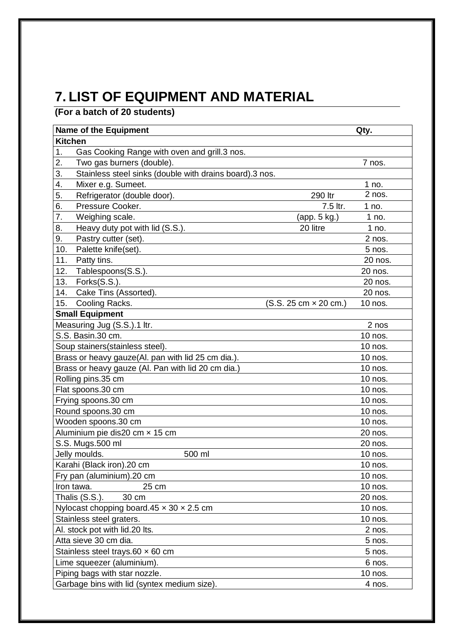# **7. LIST OF EQUIPMENT AND MATERIAL**

**(For a batch of 20 students)**

| <b>Name of the Equipment</b>                                  | Qty.                         |           |
|---------------------------------------------------------------|------------------------------|-----------|
| <b>Kitchen</b>                                                |                              |           |
| Gas Cooking Range with oven and grill.3 nos.<br>1.            |                              |           |
| 2.<br>Two gas burners (double).                               |                              | 7 nos.    |
| 3.<br>Stainless steel sinks (double with drains board).3 nos. |                              |           |
| 4.<br>Mixer e.g. Sumeet.                                      |                              | 1 no.     |
| 5.<br>Refrigerator (double door).                             | 290 ltr                      | 2 nos.    |
| 6.<br>Pressure Cooker.                                        | 7.5 ltr.                     | 1 no.     |
| 7.<br>Weighing scale.                                         | (app. 5 kg.)                 | 1 no.     |
| 8.<br>Heavy duty pot with lid (S.S.).                         | 20 litre                     | 1 no.     |
| Pastry cutter (set).<br>9.                                    |                              | 2 nos.    |
| 10.<br>Palette knife(set).                                    |                              | 5 nos.    |
| 11.<br>Patty tins.                                            |                              | 20 nos.   |
| Tablespoons(S.S.).<br>12.                                     |                              | 20 nos.   |
| 13.<br>Forks(S.S.).                                           |                              | 20 nos.   |
| Cake Tins (Assorted).<br>14.                                  |                              | 20 nos.   |
| 15.<br>Cooling Racks.                                         | $(S.S. 25 cm \times 20 cm.)$ | 10 nos.   |
| <b>Small Equipment</b>                                        |                              |           |
| Measuring Jug (S.S.).1 ltr.                                   |                              | 2 nos     |
| S.S. Basin.30 cm.                                             |                              | 10 nos.   |
| Soup stainers(stainless steel).                               |                              | 10 nos.   |
| Brass or heavy gauze(Al. pan with lid 25 cm dia.).            |                              | 10 nos.   |
| Brass or heavy gauze (Al. Pan with lid 20 cm dia.)            |                              | 10 nos.   |
| Rolling pins.35 cm                                            |                              | 10 nos.   |
| Flat spoons.30 cm                                             |                              | 10 nos.   |
| Frying spoons.30 cm                                           |                              | 10 nos.   |
| Round spoons.30 cm                                            |                              | 10 nos.   |
| Wooden spoons.30 cm                                           |                              | 10 nos.   |
| Aluminium pie dis20 cm x 15 cm                                |                              | 20 nos.   |
| S.S. Mugs.500 ml                                              |                              | 20 nos.   |
| Jelly moulds.<br>500 ml                                       |                              | 10 nos.   |
| Karahi (Black iron).20 cm                                     |                              | 10 nos.   |
| Fry pan (aluminium).20 cm                                     |                              | $10$ nos. |
| Iron tawa.<br>25 cm                                           |                              | 10 nos.   |
| Thalis (S.S.).<br>30 cm                                       | 20 nos.                      |           |
| Nylocast chopping board. $45 \times 30 \times 2.5$ cm         | 10 nos.                      |           |
| Stainless steel graters.                                      | 10 nos.                      |           |
| Al. stock pot with lid.20 lts.                                | 2 nos.                       |           |
| Atta sieve 30 cm dia.                                         | 5 nos.                       |           |
| Stainless steel trays.60 $\times$ 60 cm                       | 5 nos.                       |           |
| Lime squeezer (aluminium).                                    | 6 nos.                       |           |
| Piping bags with star nozzle.                                 | 10 nos.                      |           |
| Garbage bins with lid (syntex medium size).<br>4 nos.         |                              |           |